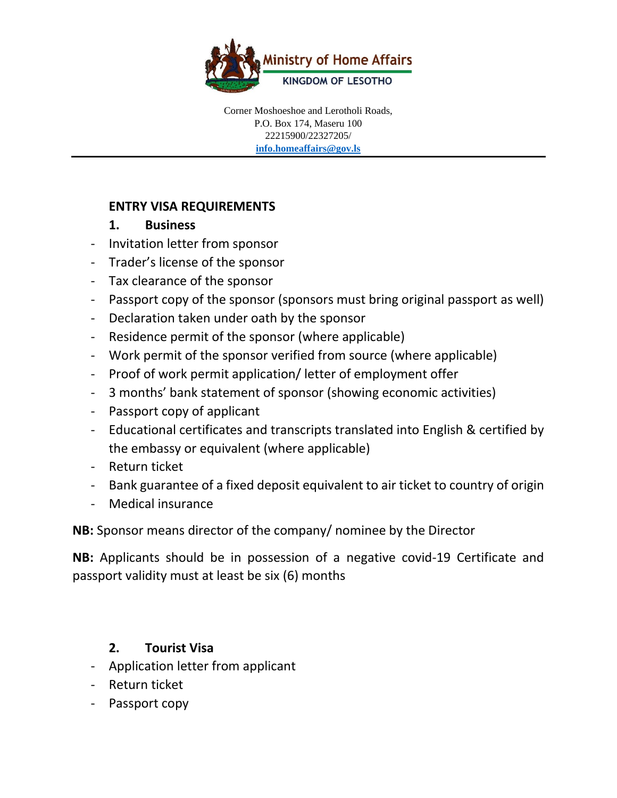

#### **ENTRY VISA REQUIREMENTS**

#### **1. Business**

- Invitation letter from sponsor
- Trader's license of the sponsor
- Tax clearance of the sponsor
- Passport copy of the sponsor (sponsors must bring original passport as well)
- Declaration taken under oath by the sponsor
- Residence permit of the sponsor (where applicable)
- Work permit of the sponsor verified from source (where applicable)
- Proof of work permit application/ letter of employment offer
- 3 months' bank statement of sponsor (showing economic activities)
- Passport copy of applicant
- Educational certificates and transcripts translated into English & certified by the embassy or equivalent (where applicable)
- Return ticket
- Bank guarantee of a fixed deposit equivalent to air ticket to country of origin
- Medical insurance

**NB:** Sponsor means director of the company/ nominee by the Director

**NB:** Applicants should be in possession of a negative covid-19 Certificate and passport validity must at least be six (6) months

# **2. Tourist Visa**

- Application letter from applicant
- Return ticket
- Passport copy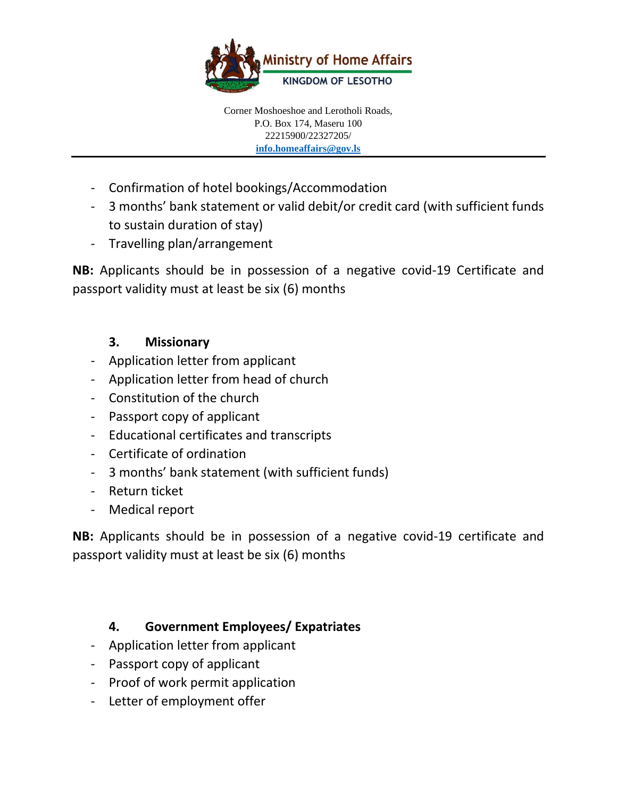

- Confirmation of hotel bookings/Accommodation
- 3 months' bank statement or valid debit/or credit card (with sufficient funds to sustain duration of stay)
- Travelling plan/arrangement

**NB:** Applicants should be in possession of a negative covid-19 Certificate and passport validity must at least be six (6) months

# **3. Missionary**

- Application letter from applicant
- Application letter from head of church
- Constitution of the church
- Passport copy of applicant
- Educational certificates and transcripts
- Certificate of ordination
- 3 months' bank statement (with sufficient funds)
- Return ticket
- Medical report

**NB:** Applicants should be in possession of a negative covid-19 certificate and passport validity must at least be six (6) months

# **4. Government Employees/ Expatriates**

- Application letter from applicant
- Passport copy of applicant
- Proof of work permit application
- Letter of employment offer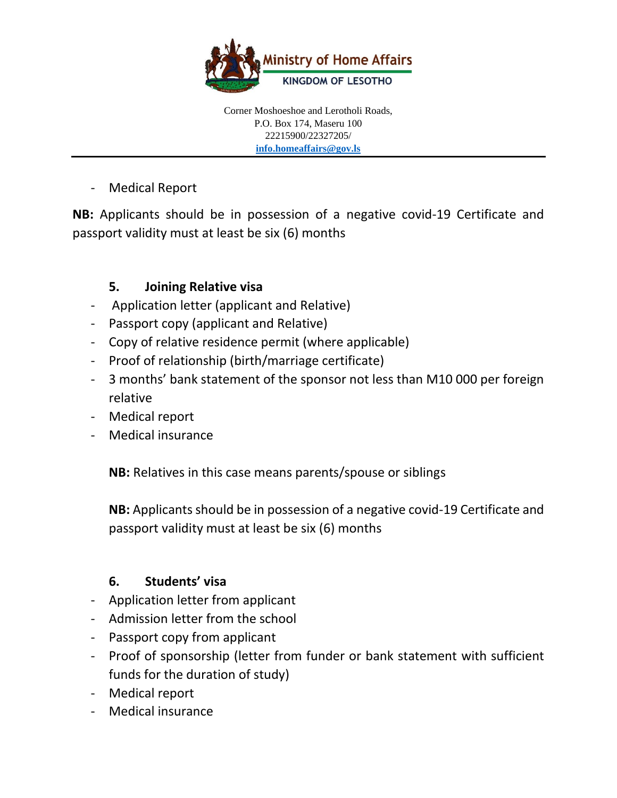

- Medical Report

**NB:** Applicants should be in possession of a negative covid-19 Certificate and passport validity must at least be six (6) months

# **5. Joining Relative visa**

- Application letter (applicant and Relative)
- Passport copy (applicant and Relative)
- Copy of relative residence permit (where applicable)
- Proof of relationship (birth/marriage certificate)
- 3 months' bank statement of the sponsor not less than M10 000 per foreign relative
- Medical report
- Medical insurance

**NB:** Relatives in this case means parents/spouse or siblings

**NB:** Applicants should be in possession of a negative covid-19 Certificate and passport validity must at least be six (6) months

# **6. Students' visa**

- Application letter from applicant
- Admission letter from the school
- Passport copy from applicant
- Proof of sponsorship (letter from funder or bank statement with sufficient funds for the duration of study)
- Medical report
- Medical insurance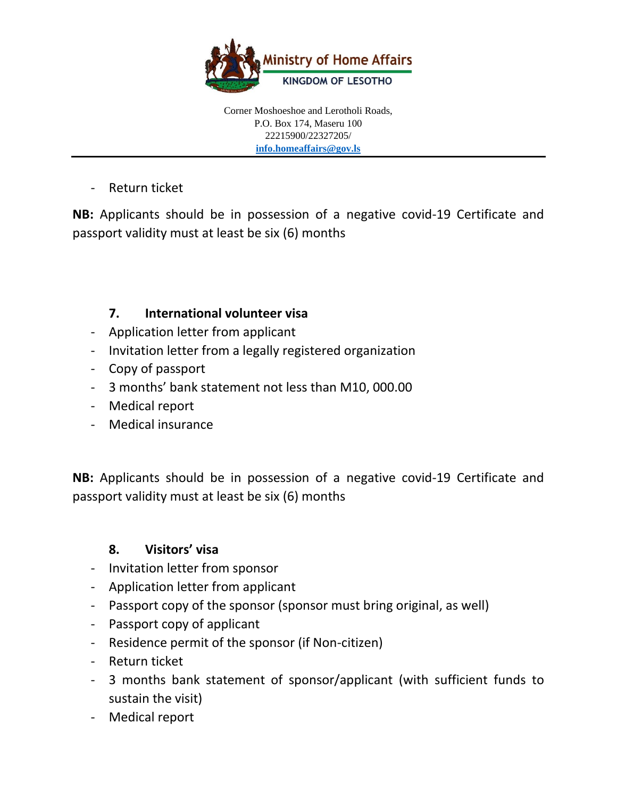

- Return ticket

**NB:** Applicants should be in possession of a negative covid-19 Certificate and passport validity must at least be six (6) months

# **7. International volunteer visa**

- Application letter from applicant
- Invitation letter from a legally registered organization
- Copy of passport
- 3 months' bank statement not less than M10, 000.00
- Medical report
- Medical insurance

**NB:** Applicants should be in possession of a negative covid-19 Certificate and passport validity must at least be six (6) months

# **8. Visitors' visa**

- Invitation letter from sponsor
- Application letter from applicant
- Passport copy of the sponsor (sponsor must bring original, as well)
- Passport copy of applicant
- Residence permit of the sponsor (if Non-citizen)
- Return ticket
- 3 months bank statement of sponsor/applicant (with sufficient funds to sustain the visit)
- Medical report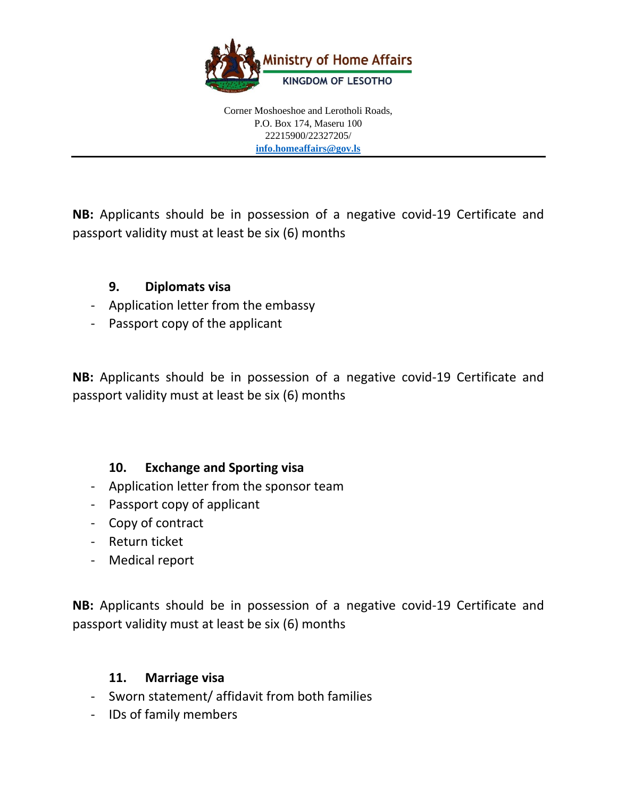

**NB:** Applicants should be in possession of a negative covid-19 Certificate and passport validity must at least be six (6) months

#### **9. Diplomats visa**

- Application letter from the embassy
- Passport copy of the applicant

**NB:** Applicants should be in possession of a negative covid-19 Certificate and passport validity must at least be six (6) months

#### **10. Exchange and Sporting visa**

- Application letter from the sponsor team
- Passport copy of applicant
- Copy of contract
- Return ticket
- Medical report

**NB:** Applicants should be in possession of a negative covid-19 Certificate and passport validity must at least be six (6) months

#### **11. Marriage visa**

- Sworn statement/ affidavit from both families
- IDs of family members